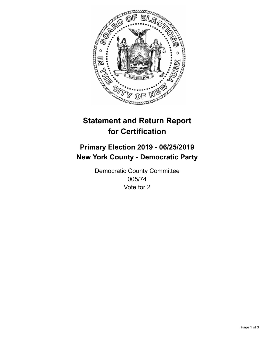

## **Statement and Return Report for Certification**

## **Primary Election 2019 - 06/25/2019 New York County - Democratic Party**

Democratic County Committee 005/74 Vote for 2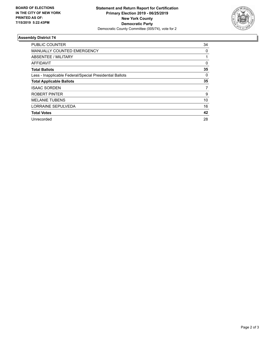

## **Assembly District 74**

| <b>PUBLIC COUNTER</b>                                    | 34 |
|----------------------------------------------------------|----|
| <b>MANUALLY COUNTED EMERGENCY</b>                        | 0  |
| ABSENTEE / MILITARY                                      |    |
| AFFIDAVIT                                                | 0  |
| <b>Total Ballots</b>                                     | 35 |
| Less - Inapplicable Federal/Special Presidential Ballots | 0  |
| <b>Total Applicable Ballots</b>                          | 35 |
| <b>ISAAC SORDEN</b>                                      | 7  |
| ROBERT PINTER                                            | 9  |
| <b>MELANIE TUBENS</b>                                    | 10 |
| LORRAINE SEPULVEDA                                       | 16 |
| <b>Total Votes</b>                                       | 42 |
| Unrecorded                                               | 28 |